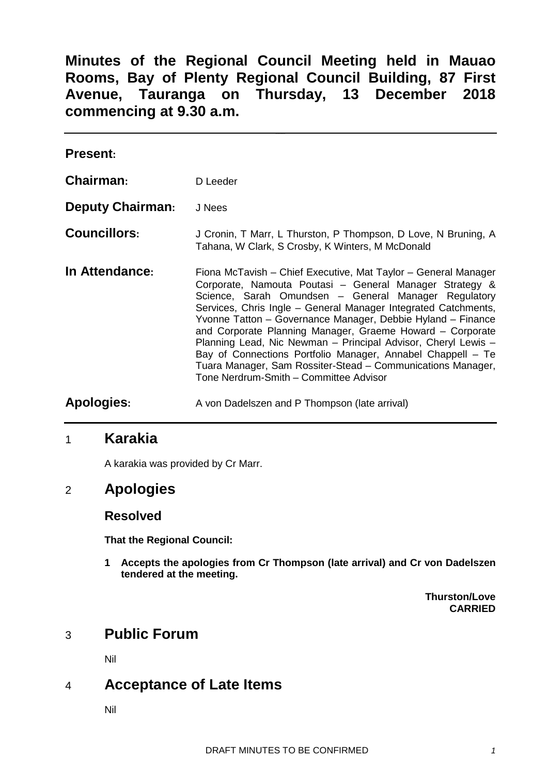**Minutes of the Regional Council Meeting held in Mauao Rooms, Bay of Plenty Regional Council Building, 87 First Avenue, Tauranga on Thursday, 13 December 2018 commencing at 9.30 a.m.**

| <b>Present:</b>         |                                                                                                                                                                                                                                                                                                                                                                                                                                                                                                                                                                                                                          |
|-------------------------|--------------------------------------------------------------------------------------------------------------------------------------------------------------------------------------------------------------------------------------------------------------------------------------------------------------------------------------------------------------------------------------------------------------------------------------------------------------------------------------------------------------------------------------------------------------------------------------------------------------------------|
| <b>Chairman:</b>        | D Leeder                                                                                                                                                                                                                                                                                                                                                                                                                                                                                                                                                                                                                 |
| <b>Deputy Chairman:</b> | J Nees                                                                                                                                                                                                                                                                                                                                                                                                                                                                                                                                                                                                                   |
| <b>Councillors:</b>     | J Cronin, T Marr, L Thurston, P Thompson, D Love, N Bruning, A<br>Tahana, W Clark, S Crosby, K Winters, M McDonald                                                                                                                                                                                                                                                                                                                                                                                                                                                                                                       |
| In Attendance:          | Fiona McTavish – Chief Executive, Mat Taylor – General Manager<br>Corporate, Namouta Poutasi - General Manager Strategy &<br>Science, Sarah Omundsen - General Manager Regulatory<br>Services, Chris Ingle - General Manager Integrated Catchments,<br>Yvonne Tatton - Governance Manager, Debbie Hyland - Finance<br>and Corporate Planning Manager, Graeme Howard - Corporate<br>Planning Lead, Nic Newman - Principal Advisor, Cheryl Lewis -<br>Bay of Connections Portfolio Manager, Annabel Chappell - Te<br>Tuara Manager, Sam Rossiter-Stead – Communications Manager,<br>Tone Nerdrum-Smith - Committee Advisor |
| <b>Apologies:</b>       | A von Dadelszen and P Thompson (late arrival)                                                                                                                                                                                                                                                                                                                                                                                                                                                                                                                                                                            |

## 1 **Karakia**

A karakia was provided by Cr Marr.

# 2 **Apologies**

## **Resolved**

**That the Regional Council:**

**1 Accepts the apologies from Cr Thompson (late arrival) and Cr von Dadelszen tendered at the meeting.**

> **Thurston/Love CARRIED**

# 3 **Public Forum**

Nil

# 4 **Acceptance of Late Items**

Nil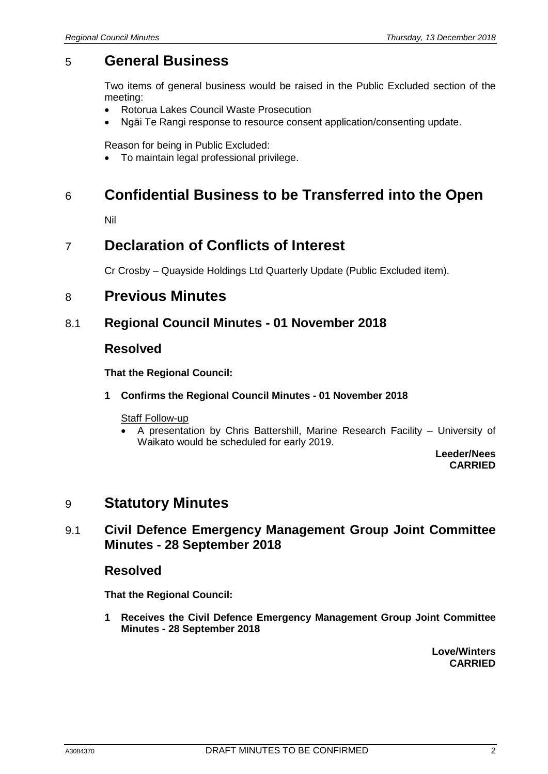# 5 **General Business**

Two items of general business would be raised in the Public Excluded section of the meeting:

- Rotorua Lakes Council Waste Prosecution
- Ngāi Te Rangi response to resource consent application/consenting update.

Reason for being in Public Excluded:

• To maintain legal professional privilege.

# 6 **Confidential Business to be Transferred into the Open**

Nil

# 7 **Declaration of Conflicts of Interest**

Cr Crosby – Quayside Holdings Ltd Quarterly Update (Public Excluded item).

# 8 **Previous Minutes**

## 8.1 **Regional Council Minutes - 01 November 2018**

## **Resolved**

**That the Regional Council:**

#### **1 Confirms the Regional Council Minutes - 01 November 2018**

#### Staff Follow-up

• A presentation by Chris Battershill, Marine Research Facility – University of Waikato would be scheduled for early 2019.

> **Leeder/Nees CARRIED**

# 9 **Statutory Minutes**

# 9.1 **Civil Defence Emergency Management Group Joint Committee Minutes - 28 September 2018**

## **Resolved**

**That the Regional Council:**

**1 Receives the Civil Defence Emergency Management Group Joint Committee Minutes - 28 September 2018**

> **Love/Winters CARRIED**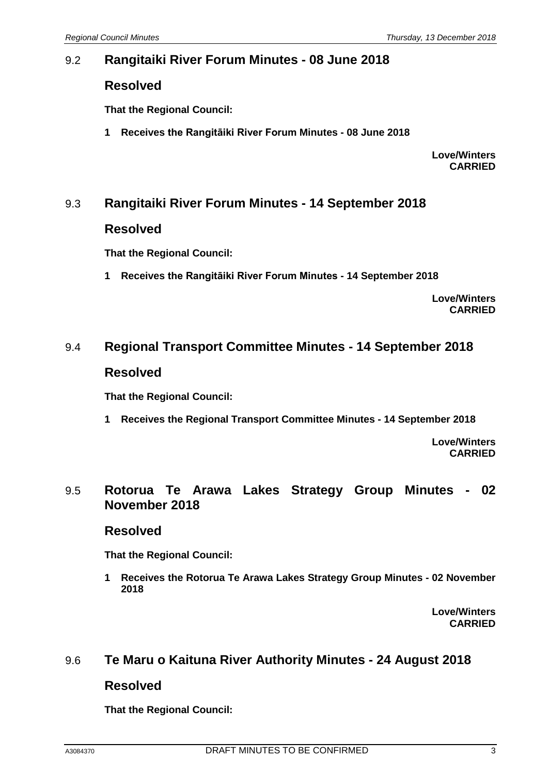# 9.2 **Rangitaiki River Forum Minutes - 08 June 2018**

## **Resolved**

**That the Regional Council:**

**1 Receives the Rangitāiki River Forum Minutes - 08 June 2018**

**Love/Winters CARRIED**

# 9.3 **Rangitaiki River Forum Minutes - 14 September 2018**

## **Resolved**

**That the Regional Council:**

**1 Receives the Rangitāiki River Forum Minutes - 14 September 2018**

**Love/Winters CARRIED**

## 9.4 **Regional Transport Committee Minutes - 14 September 2018**

## **Resolved**

**That the Regional Council:**

**1 Receives the Regional Transport Committee Minutes - 14 September 2018**

**Love/Winters CARRIED**

## 9.5 **Rotorua Te Arawa Lakes Strategy Group Minutes - 02 November 2018**

## **Resolved**

**That the Regional Council:**

**1 Receives the Rotorua Te Arawa Lakes Strategy Group Minutes - 02 November 2018**

> **Love/Winters CARRIED**

# 9.6 **Te Maru o Kaituna River Authority Minutes - 24 August 2018**

## **Resolved**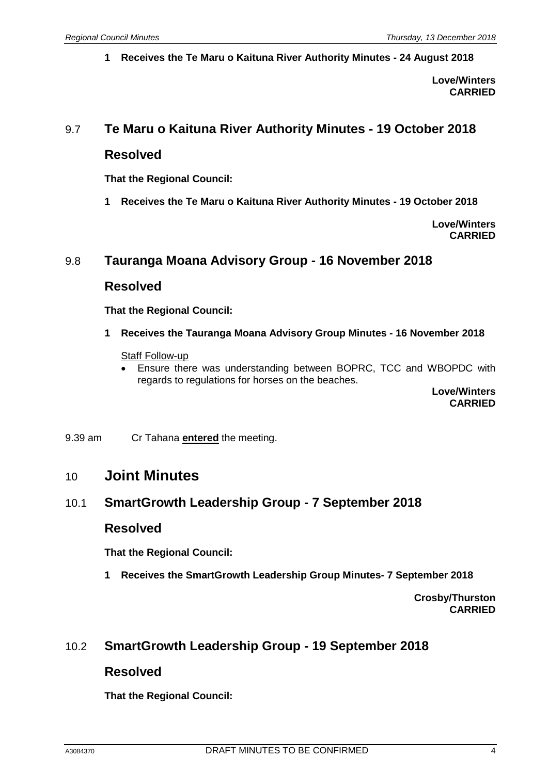**1 Receives the Te Maru o Kaituna River Authority Minutes - 24 August 2018**

**Love/Winters CARRIED**

## 9.7 **Te Maru o Kaituna River Authority Minutes - 19 October 2018**

## **Resolved**

**That the Regional Council:**

**1 Receives the Te Maru o Kaituna River Authority Minutes - 19 October 2018**

**Love/Winters CARRIED**

# 9.8 **Tauranga Moana Advisory Group - 16 November 2018**

#### **Resolved**

**That the Regional Council:**

**1 Receives the Tauranga Moana Advisory Group Minutes - 16 November 2018**

#### **Staff Follow-up**

• Ensure there was understanding between BOPRC, TCC and WBOPDC with regards to regulations for horses on the beaches.

**Love/Winters CARRIED**

9.39 am Cr Tahana **entered** the meeting.

## 10 **Joint Minutes**

## 10.1 **SmartGrowth Leadership Group - 7 September 2018**

## **Resolved**

**That the Regional Council:**

**1 Receives the SmartGrowth Leadership Group Minutes- 7 September 2018**

**Crosby/Thurston CARRIED**

## 10.2 **SmartGrowth Leadership Group - 19 September 2018**

## **Resolved**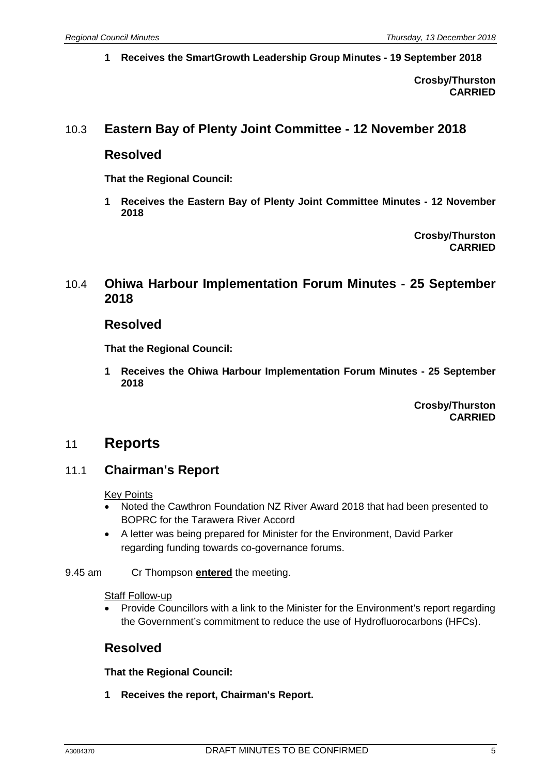**1 Receives the SmartGrowth Leadership Group Minutes - 19 September 2018**

**Crosby/Thurston CARRIED**

# 10.3 **Eastern Bay of Plenty Joint Committee - 12 November 2018**

## **Resolved**

**That the Regional Council:**

**1 Receives the Eastern Bay of Plenty Joint Committee Minutes - 12 November 2018**

> **Crosby/Thurston CARRIED**

## 10.4 **Ohiwa Harbour Implementation Forum Minutes - 25 September 2018**

#### **Resolved**

**That the Regional Council:**

**1 Receives the Ohiwa Harbour Implementation Forum Minutes - 25 September 2018**

> **Crosby/Thurston CARRIED**

## 11 **Reports**

## 11.1 **Chairman's Report**

#### **Key Points**

- Noted the Cawthron Foundation NZ River Award 2018 that had been presented to BOPRC for the Tarawera River Accord
- A letter was being prepared for Minister for the Environment, David Parker regarding funding towards co-governance forums.

#### 9.45 am Cr Thompson **entered** the meeting.

#### **Staff Follow-up**

• Provide Councillors with a link to the Minister for the Environment's report regarding the Government's commitment to reduce the use of Hydrofluorocarbons (HFCs).

## **Resolved**

**That the Regional Council:**

**1 Receives the report, Chairman's Report.**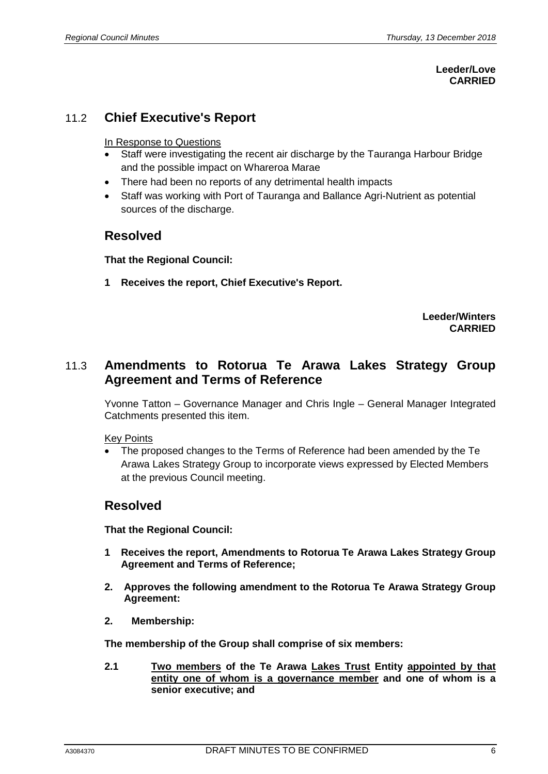#### **Leeder/Love CARRIED**

# 11.2 **Chief Executive's Report**

#### In Response to Questions

- Staff were investigating the recent air discharge by the Tauranga Harbour Bridge and the possible impact on Whareroa Marae
- There had been no reports of any detrimental health impacts
- Staff was working with Port of Tauranga and Ballance Agri-Nutrient as potential sources of the discharge.

## **Resolved**

**That the Regional Council:**

**1 Receives the report, Chief Executive's Report.**

**Leeder/Winters CARRIED**

# 11.3 **Amendments to Rotorua Te Arawa Lakes Strategy Group Agreement and Terms of Reference**

Yvonne Tatton – Governance Manager and Chris Ingle – General Manager Integrated Catchments presented this item.

#### Key Points

• The proposed changes to the Terms of Reference had been amended by the Te Arawa Lakes Strategy Group to incorporate views expressed by Elected Members at the previous Council meeting.

## **Resolved**

**That the Regional Council:**

- **1 Receives the report, Amendments to Rotorua Te Arawa Lakes Strategy Group Agreement and Terms of Reference;**
- **2. Approves the following amendment to the Rotorua Te Arawa Strategy Group Agreement:**
- **2. Membership:**

**The membership of the Group shall comprise of six members:**

**2.1 Two members of the Te Arawa Lakes Trust Entity appointed by that entity one of whom is a governance member and one of whom is a senior executive; and**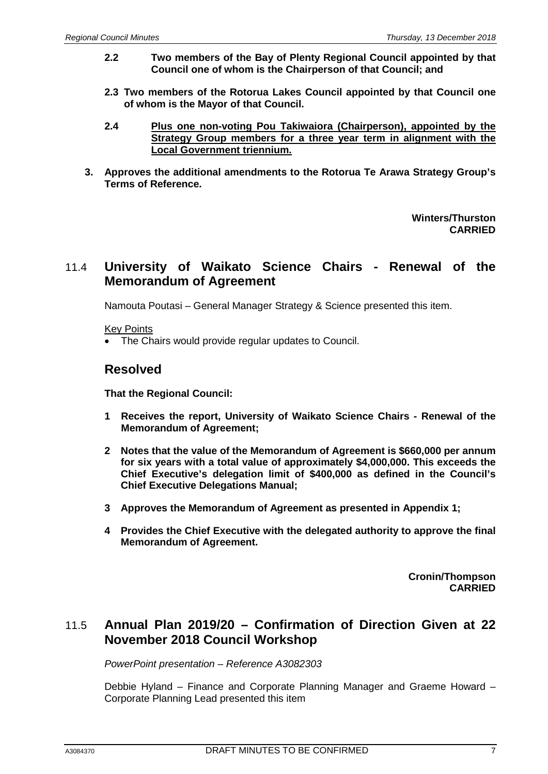- **2.2 Two members of the Bay of Plenty Regional Council appointed by that Council one of whom is the Chairperson of that Council; and**
- **2.3 Two members of the Rotorua Lakes Council appointed by that Council one of whom is the Mayor of that Council.**
- **2.4 Plus one non-voting Pou Takiwaiora (Chairperson), appointed by the Strategy Group members for a three year term in alignment with the Local Government triennium.**
- **3. Approves the additional amendments to the Rotorua Te Arawa Strategy Group's Terms of Reference.**

**Winters/Thurston CARRIED**

# 11.4 **University of Waikato Science Chairs - Renewal of the Memorandum of Agreement**

Namouta Poutasi – General Manager Strategy & Science presented this item.

Key Points

• The Chairs would provide regular updates to Council.

## **Resolved**

**That the Regional Council:**

- **1 Receives the report, University of Waikato Science Chairs - Renewal of the Memorandum of Agreement;**
- **2 Notes that the value of the Memorandum of Agreement is \$660,000 per annum for six years with a total value of approximately \$4,000,000. This exceeds the Chief Executive's delegation limit of \$400,000 as defined in the Council's Chief Executive Delegations Manual;**
- **3 Approves the Memorandum of Agreement as presented in Appendix 1;**
- **4 Provides the Chief Executive with the delegated authority to approve the final Memorandum of Agreement.**

**Cronin/Thompson CARRIED**

# 11.5 **Annual Plan 2019/20 – Confirmation of Direction Given at 22 November 2018 Council Workshop**

*PowerPoint presentation – Reference A3082303*

Debbie Hyland – Finance and Corporate Planning Manager and Graeme Howard – Corporate Planning Lead presented this item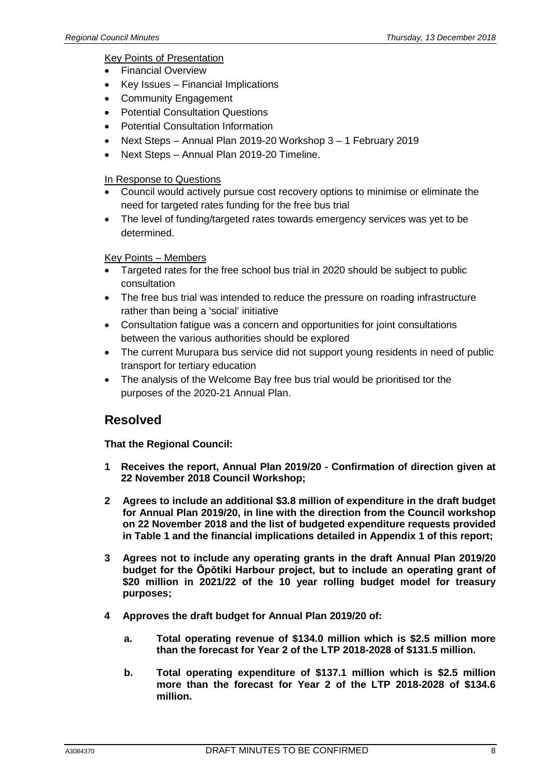#### Key Points of Presentation

- Financial Overview
- Key Issues Financial Implications
- Community Engagement
- Potential Consultation Questions
- Potential Consultation Information
- Next Steps Annual Plan 2019-20 Workshop 3 1 February 2019
- Next Steps Annual Plan 2019-20 Timeline.

#### In Response to Questions

- Council would actively pursue cost recovery options to minimise or eliminate the need for targeted rates funding for the free bus trial
- The level of funding/targeted rates towards emergency services was yet to be determined.

#### Key Points – Members

- Targeted rates for the free school bus trial in 2020 should be subject to public consultation
- The free bus trial was intended to reduce the pressure on roading infrastructure rather than being a 'social' initiative
- Consultation fatigue was a concern and opportunities for joint consultations between the various authorities should be explored
- The current Murupara bus service did not support young residents in need of public transport for tertiary education
- The analysis of the Welcome Bay free bus trial would be prioritised tor the purposes of the 2020-21 Annual Plan.

## **Resolved**

- **1 Receives the report, Annual Plan 2019/20 - Confirmation of direction given at 22 November 2018 Council Workshop;**
- **2 Agrees to include an additional \$3.8 million of expenditure in the draft budget for Annual Plan 2019/20, in line with the direction from the Council workshop on 22 November 2018 and the list of budgeted expenditure requests provided in Table 1 and the financial implications detailed in Appendix 1 of this report;**
- **3 Agrees not to include any operating grants in the draft Annual Plan 2019/20 budget for the Ōpōtiki Harbour project, but to include an operating grant of \$20 million in 2021/22 of the 10 year rolling budget model for treasury purposes;**
- **4 Approves the draft budget for Annual Plan 2019/20 of:**
	- **a. Total operating revenue of \$134.0 million which is \$2.5 million more than the forecast for Year 2 of the LTP 2018-2028 of \$131.5 million.**
	- **b. Total operating expenditure of \$137.1 million which is \$2.5 million more than the forecast for Year 2 of the LTP 2018-2028 of \$134.6 million.**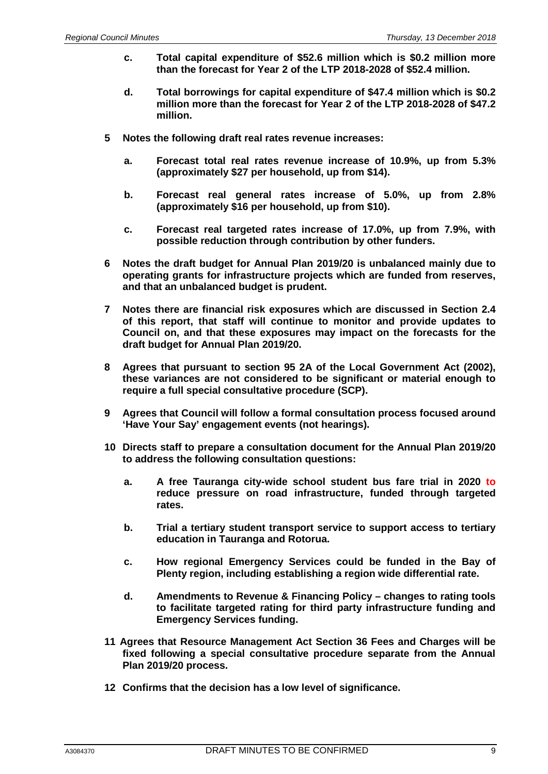- **c. Total capital expenditure of \$52.6 million which is \$0.2 million more than the forecast for Year 2 of the LTP 2018-2028 of \$52.4 million.**
- **d. Total borrowings for capital expenditure of \$47.4 million which is \$0.2 million more than the forecast for Year 2 of the LTP 2018-2028 of \$47.2 million.**
- **5 Notes the following draft real rates revenue increases:**
	- **a. Forecast total real rates revenue increase of 10.9%, up from 5.3% (approximately \$27 per household, up from \$14).**
	- **b. Forecast real general rates increase of 5.0%, up from 2.8% (approximately \$16 per household, up from \$10).**
	- **c. Forecast real targeted rates increase of 17.0%, up from 7.9%, with possible reduction through contribution by other funders.**
- **6 Notes the draft budget for Annual Plan 2019/20 is unbalanced mainly due to operating grants for infrastructure projects which are funded from reserves, and that an unbalanced budget is prudent.**
- **7 Notes there are financial risk exposures which are discussed in Section 2.4 of this report, that staff will continue to monitor and provide updates to Council on, and that these exposures may impact on the forecasts for the draft budget for Annual Plan 2019/20.**
- **8 Agrees that pursuant to section 95 2A of the Local Government Act (2002), these variances are not considered to be significant or material enough to require a full special consultative procedure (SCP).**
- **9 Agrees that Council will follow a formal consultation process focused around 'Have Your Say' engagement events (not hearings).**
- **10 Directs staff to prepare a consultation document for the Annual Plan 2019/20 to address the following consultation questions:**
	- **a. A free Tauranga city-wide school student bus fare trial in 2020 to reduce pressure on road infrastructure, funded through targeted rates.**
	- **b. Trial a tertiary student transport service to support access to tertiary education in Tauranga and Rotorua.**
	- **c. How regional Emergency Services could be funded in the Bay of Plenty region, including establishing a region wide differential rate.**
	- **d. Amendments to Revenue & Financing Policy – changes to rating tools to facilitate targeted rating for third party infrastructure funding and Emergency Services funding.**
- **11 Agrees that Resource Management Act Section 36 Fees and Charges will be fixed following a special consultative procedure separate from the Annual Plan 2019/20 process.**
- **12 Confirms that the decision has a low level of significance.**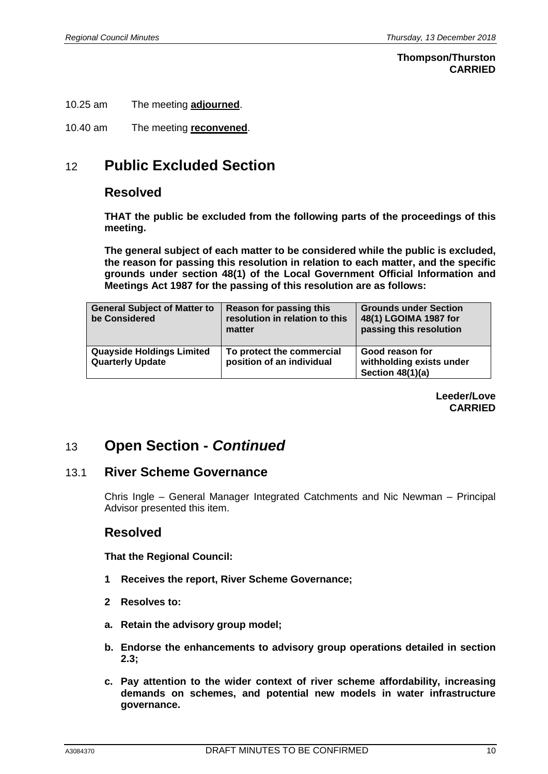#### **Thompson/Thurston CARRIED**

- 10.25 am The meeting **adjourned**.
- 10.40 am The meeting **reconvened**.

# 12 **Public Excluded Section**

## **Resolved**

**THAT the public be excluded from the following parts of the proceedings of this meeting.**

**The general subject of each matter to be considered while the public is excluded, the reason for passing this resolution in relation to each matter, and the specific grounds under section 48(1) of the Local Government Official Information and Meetings Act 1987 for the passing of this resolution are as follows:**

| <b>General Subject of Matter to</b><br>be Considered        | Reason for passing this<br>resolution in relation to this<br>matter | <b>Grounds under Section</b><br>48(1) LGOIMA 1987 for<br>passing this resolution |
|-------------------------------------------------------------|---------------------------------------------------------------------|----------------------------------------------------------------------------------|
| <b>Quayside Holdings Limited</b><br><b>Quarterly Update</b> | To protect the commercial<br>position of an individual              | Good reason for<br>withholding exists under<br>Section 48(1)(a)                  |

**Leeder/Love CARRIED**

# 13 **Open Section -** *Continued*

## 13.1 **River Scheme Governance**

Chris Ingle – General Manager Integrated Catchments and Nic Newman – Principal Advisor presented this item.

## **Resolved**

- **1 Receives the report, River Scheme Governance;**
- **2 Resolves to:**
- **a. Retain the advisory group model;**
- **b. Endorse the enhancements to advisory group operations detailed in section 2.3;**
- **c. Pay attention to the wider context of river scheme affordability, increasing demands on schemes, and potential new models in water infrastructure governance.**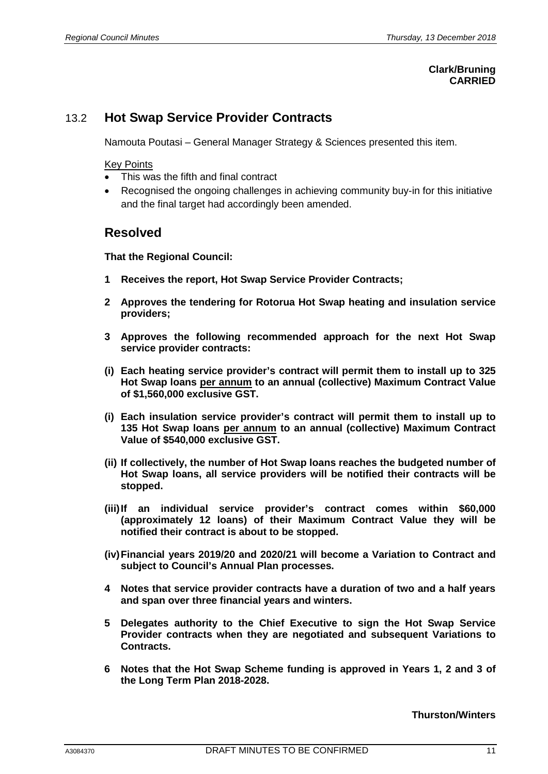#### **Clark/Bruning CARRIED**

# 13.2 **Hot Swap Service Provider Contracts**

Namouta Poutasi – General Manager Strategy & Sciences presented this item.

#### Key Points

- This was the fifth and final contract
- Recognised the ongoing challenges in achieving community buy-in for this initiative and the final target had accordingly been amended.

## **Resolved**

**That the Regional Council:**

- **1 Receives the report, Hot Swap Service Provider Contracts;**
- **2 Approves the tendering for Rotorua Hot Swap heating and insulation service providers;**
- **3 Approves the following recommended approach for the next Hot Swap service provider contracts:**
- **(i) Each heating service provider's contract will permit them to install up to 325 Hot Swap loans per annum to an annual (collective) Maximum Contract Value of \$1,560,000 exclusive GST.**
- **(i) Each insulation service provider's contract will permit them to install up to 135 Hot Swap loans per annum to an annual (collective) Maximum Contract Value of \$540,000 exclusive GST.**
- **(ii) If collectively, the number of Hot Swap loans reaches the budgeted number of Hot Swap loans, all service providers will be notified their contracts will be stopped.**
- **(iii)If an individual service provider's contract comes within \$60,000 (approximately 12 loans) of their Maximum Contract Value they will be notified their contract is about to be stopped.**
- **(iv)Financial years 2019/20 and 2020/21 will become a Variation to Contract and subject to Council's Annual Plan processes.**
- **4 Notes that service provider contracts have a duration of two and a half years and span over three financial years and winters.**
- **5 Delegates authority to the Chief Executive to sign the Hot Swap Service Provider contracts when they are negotiated and subsequent Variations to Contracts.**
- **6 Notes that the Hot Swap Scheme funding is approved in Years 1, 2 and 3 of the Long Term Plan 2018-2028.**

#### **Thurston/Winters**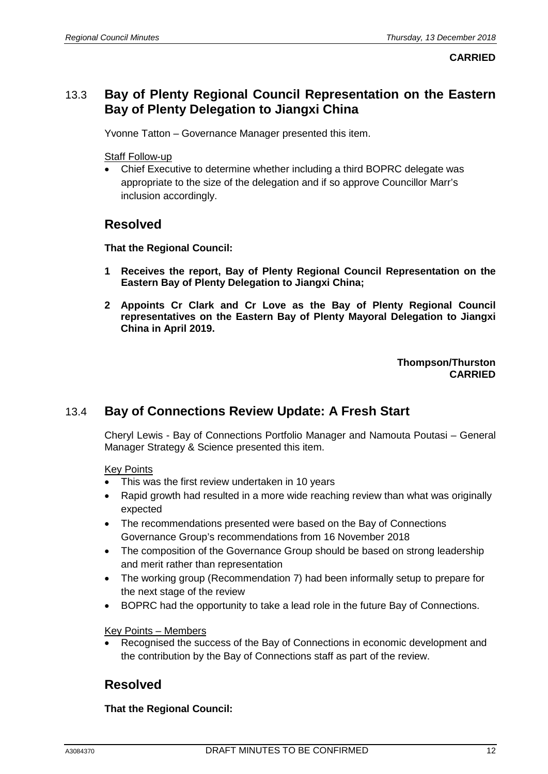**CARRIED**

## 13.3 **Bay of Plenty Regional Council Representation on the Eastern Bay of Plenty Delegation to Jiangxi China**

Yvonne Tatton – Governance Manager presented this item.

Staff Follow-up

• Chief Executive to determine whether including a third BOPRC delegate was appropriate to the size of the delegation and if so approve Councillor Marr's inclusion accordingly.

## **Resolved**

**That the Regional Council:**

- **1 Receives the report, Bay of Plenty Regional Council Representation on the Eastern Bay of Plenty Delegation to Jiangxi China;**
- **2 Appoints Cr Clark and Cr Love as the Bay of Plenty Regional Council representatives on the Eastern Bay of Plenty Mayoral Delegation to Jiangxi China in April 2019.**

**Thompson/Thurston CARRIED**

# 13.4 **Bay of Connections Review Update: A Fresh Start**

Cheryl Lewis - Bay of Connections Portfolio Manager and Namouta Poutasi – General Manager Strategy & Science presented this item.

#### Key Points

- This was the first review undertaken in 10 years
- Rapid growth had resulted in a more wide reaching review than what was originally expected
- The recommendations presented were based on the Bay of Connections Governance Group's recommendations from 16 November 2018
- The composition of the Governance Group should be based on strong leadership and merit rather than representation
- The working group (Recommendation 7) had been informally setup to prepare for the next stage of the review
- BOPRC had the opportunity to take a lead role in the future Bay of Connections.

#### Key Points – Members

• Recognised the success of the Bay of Connections in economic development and the contribution by the Bay of Connections staff as part of the review.

# **Resolved**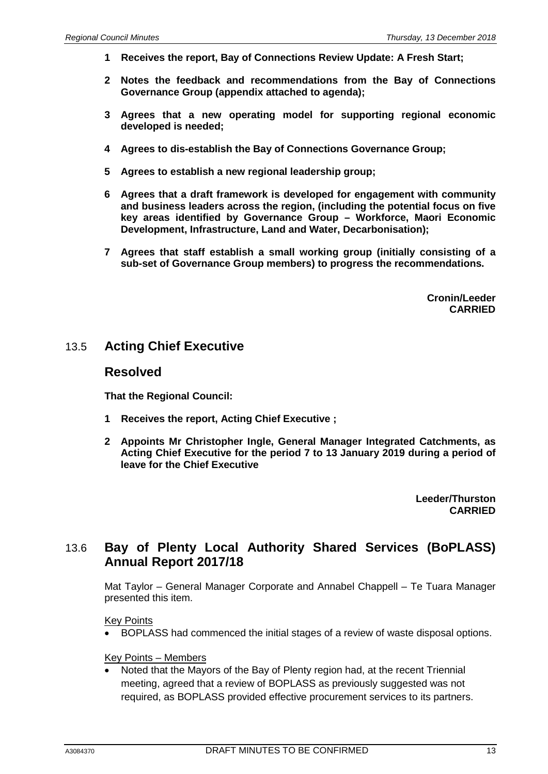- **1 Receives the report, Bay of Connections Review Update: A Fresh Start;**
- **2 Notes the feedback and recommendations from the Bay of Connections Governance Group (appendix attached to agenda);**
- **3 Agrees that a new operating model for supporting regional economic developed is needed;**
- **4 Agrees to dis-establish the Bay of Connections Governance Group;**
- **5 Agrees to establish a new regional leadership group;**
- **6 Agrees that a draft framework is developed for engagement with community and business leaders across the region, (including the potential focus on five key areas identified by Governance Group – Workforce, Maori Economic Development, Infrastructure, Land and Water, Decarbonisation);**
- **7 Agrees that staff establish a small working group (initially consisting of a sub-set of Governance Group members) to progress the recommendations.**

**Cronin/Leeder CARRIED**

## 13.5 **Acting Chief Executive**

#### **Resolved**

**That the Regional Council:**

- **1 Receives the report, Acting Chief Executive ;**
- **2 Appoints Mr Christopher Ingle, General Manager Integrated Catchments, as Acting Chief Executive for the period 7 to 13 January 2019 during a period of leave for the Chief Executive**

**Leeder/Thurston CARRIED**

## 13.6 **Bay of Plenty Local Authority Shared Services (BoPLASS) Annual Report 2017/18**

Mat Taylor – General Manager Corporate and Annabel Chappell – Te Tuara Manager presented this item.

#### Key Points

• BOPLASS had commenced the initial stages of a review of waste disposal options.

#### Key Points – Members

• Noted that the Mayors of the Bay of Plenty region had, at the recent Triennial meeting, agreed that a review of BOPLASS as previously suggested was not required, as BOPLASS provided effective procurement services to its partners.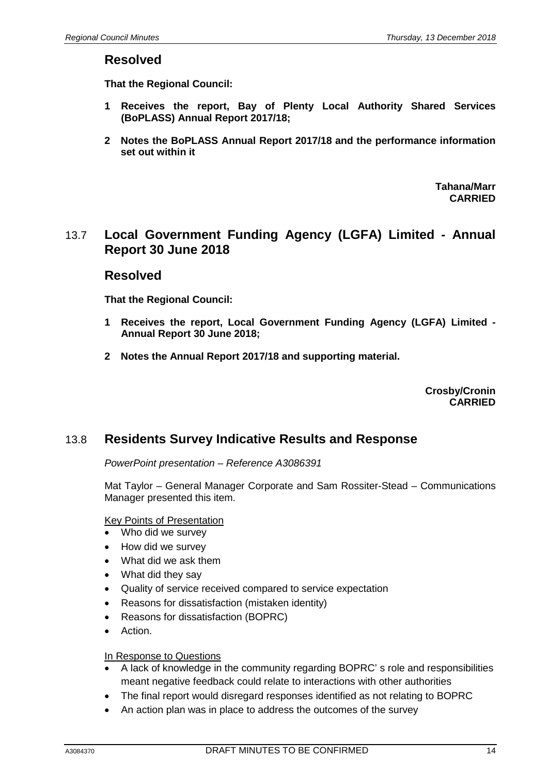## **Resolved**

**That the Regional Council:**

- **1 Receives the report, Bay of Plenty Local Authority Shared Services (BoPLASS) Annual Report 2017/18;**
- **2 Notes the BoPLASS Annual Report 2017/18 and the performance information set out within it**

**Tahana/Marr CARRIED**

# 13.7 **Local Government Funding Agency (LGFA) Limited - Annual Report 30 June 2018**

## **Resolved**

**That the Regional Council:**

- **1 Receives the report, Local Government Funding Agency (LGFA) Limited - Annual Report 30 June 2018;**
- **2 Notes the Annual Report 2017/18 and supporting material.**

**Crosby/Cronin CARRIED**

## 13.8 **Residents Survey Indicative Results and Response**

*PowerPoint presentation – Reference A3086391*

Mat Taylor – General Manager Corporate and Sam Rossiter-Stead – Communications Manager presented this item.

#### Key Points of Presentation

- Who did we survey
- How did we survey
- What did we ask them
- What did they say
- Quality of service received compared to service expectation
- Reasons for dissatisfaction (mistaken identity)
- Reasons for dissatisfaction (BOPRC)
- Action.

#### In Response to Questions

- A lack of knowledge in the community regarding BOPRC' s role and responsibilities meant negative feedback could relate to interactions with other authorities
- The final report would disregard responses identified as not relating to BOPRC
- An action plan was in place to address the outcomes of the survey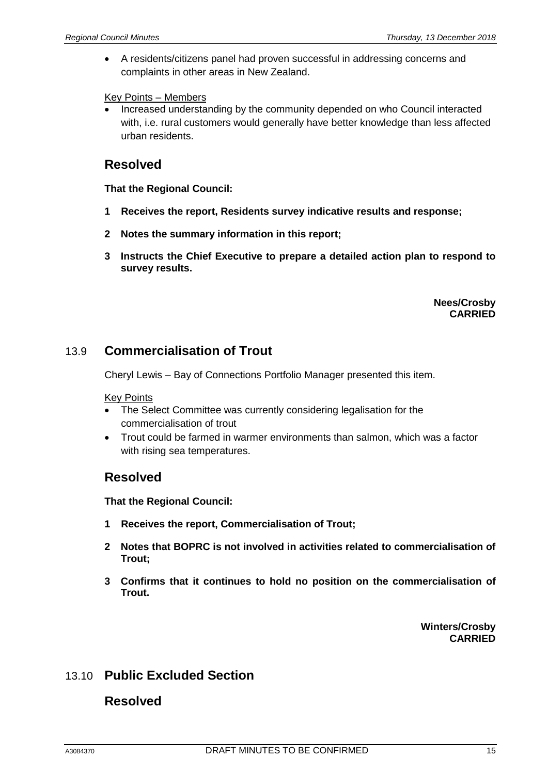• A residents/citizens panel had proven successful in addressing concerns and complaints in other areas in New Zealand.

#### Key Points – Members

• Increased understanding by the community depended on who Council interacted with, i.e. rural customers would generally have better knowledge than less affected urban residents.

# **Resolved**

#### **That the Regional Council:**

- **1 Receives the report, Residents survey indicative results and response;**
- **2 Notes the summary information in this report;**
- **3 Instructs the Chief Executive to prepare a detailed action plan to respond to survey results.**

**Nees/Crosby CARRIED**

# 13.9 **Commercialisation of Trout**

Cheryl Lewis – Bay of Connections Portfolio Manager presented this item.

#### Key Points

- The Select Committee was currently considering legalisation for the commercialisation of trout
- Trout could be farmed in warmer environments than salmon, which was a factor with rising sea temperatures.

## **Resolved**

**That the Regional Council:**

- **1 Receives the report, Commercialisation of Trout;**
- **2 Notes that BOPRC is not involved in activities related to commercialisation of Trout;**
- **3 Confirms that it continues to hold no position on the commercialisation of Trout.**

**Winters/Crosby CARRIED**

## 13.10 **Public Excluded Section**

## **Resolved**